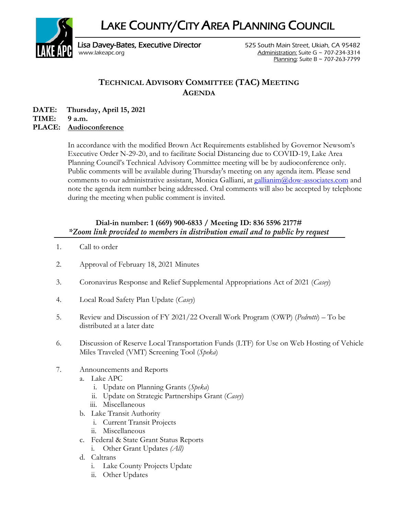LAKE COUNTY/CITY AREA PLANNING COUNCIL



Lisa Davey-Bates, Executive Director **525 South Main Street, Ukiah, CA 95482** [www.lakeapc.org](http://www.lakeapc.org/) Administration: Suite G ~ 707-234-3314 Planning: Suite B ~ 707-263-7799

## **TECHNICAL ADVISORY COMMITTEE (TAC) MEETING AGENDA**

**DATE: Thursday, April 15, 2021 TIME: 9 a.m.**

## **PLACE: Audioconference**

In accordance with the modified Brown Act Requirements established by Governor Newsom's Executive Order N-29-20, and to facilitate Social Distancing due to COVID-19, Lake Area Planning Council's Technical Advisory Committee meeting will be by audioconference only. Public comments will be available during Thursday's meeting on any agenda item. Please send comments to our administrative assistant, Monica Galliani, at [gallianim@dow-associates.com](mailto:gallianim@dow-associates.com) and note the agenda item number being addressed. Oral comments will also be accepted by telephone during the meeting when public comment is invited.

## **Dial-in number: 1 (669) 900-6833 / Meeting ID: 836 5596 2177#** *\*Zoom link provided to members in distribution email and to public by request*

- 1. Call to order
- 2. Approval of February 18, 2021 Minutes
- 3. Coronavirus Response and Relief Supplemental Appropriations Act of 2021 (*Casey*)
- 4. Local Road Safety Plan Update (*Casey*)
- 5. Review and Discussion of FY 2021/22 Overall Work Program (OWP) (*Pedrotti*) To be distributed at a later date
- 6. Discussion of Reserve Local Transportation Funds (LTF) for Use on Web Hosting of Vehicle Miles Traveled (VMT) Screening Tool (*Speka*)
- 7. Announcements and Reports
	- a. Lake APC
		- i. Update on Planning Grants (*Speka*)
		- ii. Update on Strategic Partnerships Grant (*Casey*)
		- iii. Miscellaneous
	- b. Lake Transit Authority
		- i. Current Transit Projects
		- ii. Miscellaneous
	- c. Federal & State Grant Status Reports
		- i. Other Grant Updates *(All)*
	- d. Caltrans
		- i. Lake County Projects Update
		- ii. Other Updates